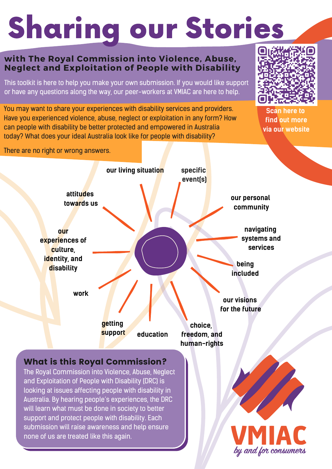# Sharing our Stories

#### **with The Royal Commission into Violence, Abuse, Neglect and Exploitation of People with Disability**

This toolkit is here to help you make your own submission. If you would like support or have any questions along the way, our peer-workers at VMIAC are here to help.

You may want to share your experiences with disability services and providers. Have you experienced violence, abuse, neglect or exploitation in any form? How can people with disability be better protected and empowered in Australia today? What does your ideal Australia look like for people with disability?



**Scan here to find out more via our website**

There are no right or wrong answers.



### What is this Royal Commission?

The Royal Commission into Violence, Abuse, Neglect and Exploitation of People with Disability (DRC) is looking at issues affecting people with disability in Australia. By hearing people's experiences, the DRC will learn what must be done in society to better support and protect people with disability. Each submission will raise awareness and help ensure none of us are treated like this again.